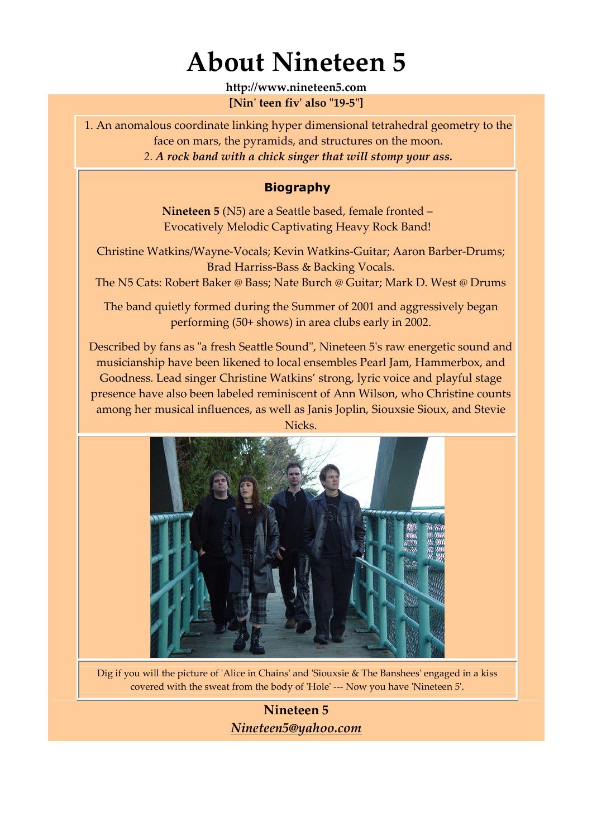## **About Nineteen 5**

**http://www.nineteen5.com [Nin' teen fiv' also "19-5"]**

1. An anomalous coordinate linking hyper dimensional tetrahedral geometry to the face on mars, the pyramids, and structures on the moon. *2. A rock band with a chick singer that will stomp your ass.*

#### **Biography**

**Nineteen 5** (N5) are a Seattle based, female fronted – Evocatively Melodic Captivating Heavy Rock Band!

Christine Watkins/Wayne-Vocals; Kevin Watkins-Guitar; Aaron Barber-Drums; Brad Harriss-Bass & Backing Vocals.

The N5 Cats: Robert Baker @ Bass; Nate Burch @ Guitar; Mark D. West @ Drums

The band quietly formed during the Summer of 2001 and aggressively began performing (50+ shows) in area clubs early in 2002.

Described by fans as "a fresh Seattle Sound", Nineteen 5's raw energetic sound and musicianship have been likened to local ensembles Pearl Jam, Hammerbox, and Goodness. Lead singer Christine Watkins' strong, lyric voice and playful stage presence have also been labeled reminiscent of Ann Wilson, who Christine counts among her musical influences, as well as Janis Joplin, Siouxsie Sioux, and Stevie Nicks.



Dig if you will the picture of 'Alice in Chains' and 'Siouxsie & The Banshees' engaged in a kiss covered with the sweat from the body of 'Hole' --- Now you have 'Nineteen 5'.

**Nineteen 5** *Nineteen5@yahoo.com*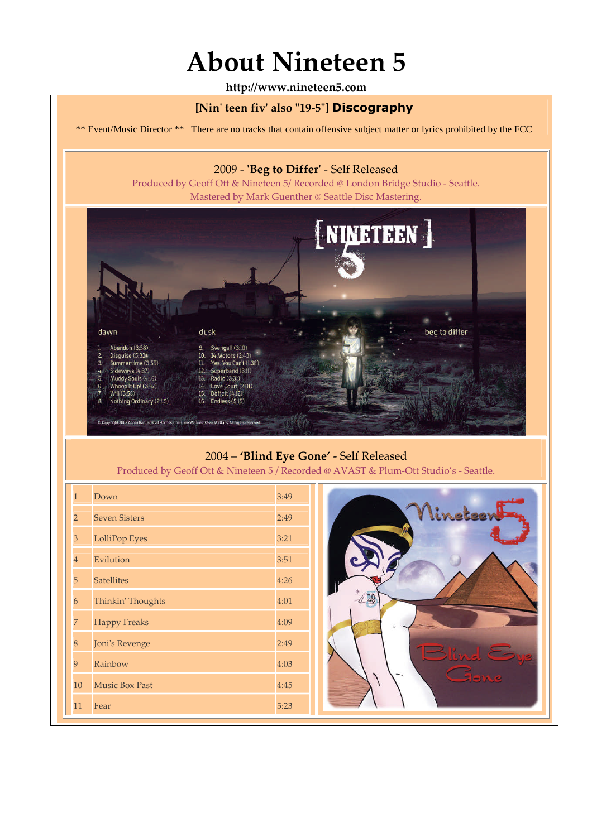# **About Nineteen 5**

**http://www.nineteen5.com**

#### **[Nin' teen fiv' also "19-5"] Discography**

\*\* Event/Music Director \*\* There are no tracks that contain offensive subject matter or lyrics prohibited by the FCC